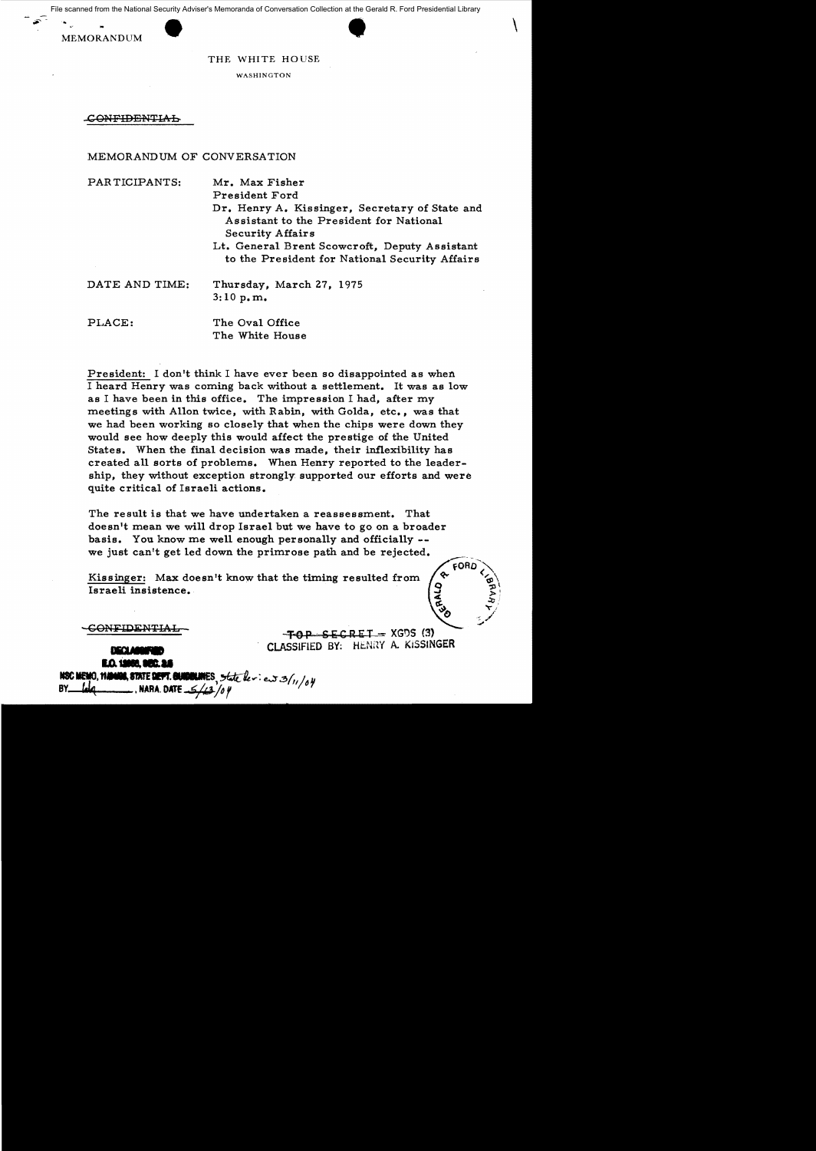at the Gerald R. Ford Presidential Library<br>  $\begin{pmatrix} 1 & 0 & 0 \\ 0 & 1 & 0 \\ 0 & 0 & 1 \end{pmatrix}$ File scanned from the National Security Adviser's Memoranda of Conversation Collection at the Gerald R. Ford Presidential Library

MEMORANDUM

## THE WHITE HOUSE

WASHINGTON

C<del>ONFIDENTIAL</del>

## MEMORANDUM OF CONVERSATION

| PARTICIPANTS:  | Mr. Max Fisher<br>President Ford                                                                                     |
|----------------|----------------------------------------------------------------------------------------------------------------------|
|                | Dr. Henry A. Kissinger, Secretary of State and<br>Assistant to the President for National<br><b>Security Affairs</b> |
|                | Lt. General Brent Scowcroft, Deputy Assistant<br>to the President for National Security Affairs                      |
| DATE AND TIME: | Thursday, March 27, 1975<br>3:10 p.m.                                                                                |
| PLACE:         | The Oval Office<br>The White House                                                                                   |

President: I don't think I have ever been so disappointed as when I heard Henry was coming back without a settlement. It was as low as I have been in this office. The impression I had, after my meetings with Allon twice, with Rabin, with Golda, etc., was that we had been working so closely that when the chips were down they would see how deeply this would affect the prestige of the United States. When the final decision was made, their inflexibility has created all sorts of problems. When Henry reported to the leadership, they without exception strongly. supported our efforts and were quite critical of Israeli actions.

The result is that we have undertaken a reassessment. That doesn't mean we will drop Israel but we have to go on a broader basis. You know me well enough personally and officially we just can't get led down the primrose path and be rejected.

Kissinger: Max doesn't know that the timing resulted from Israeli insistence.

 $-FOP - SECREI - XGDS (3)$ **CLASSIFIED BY:** HENRY A. KISSINGER **BOLUMENTED BOLUMENTED BY:**  $\overline{R}$ 

cOB∩

**COLINES**, state deview 3/11/04 NSC MEMO, 1140408, STATE DEVT, GAM **NARA DATE** /o I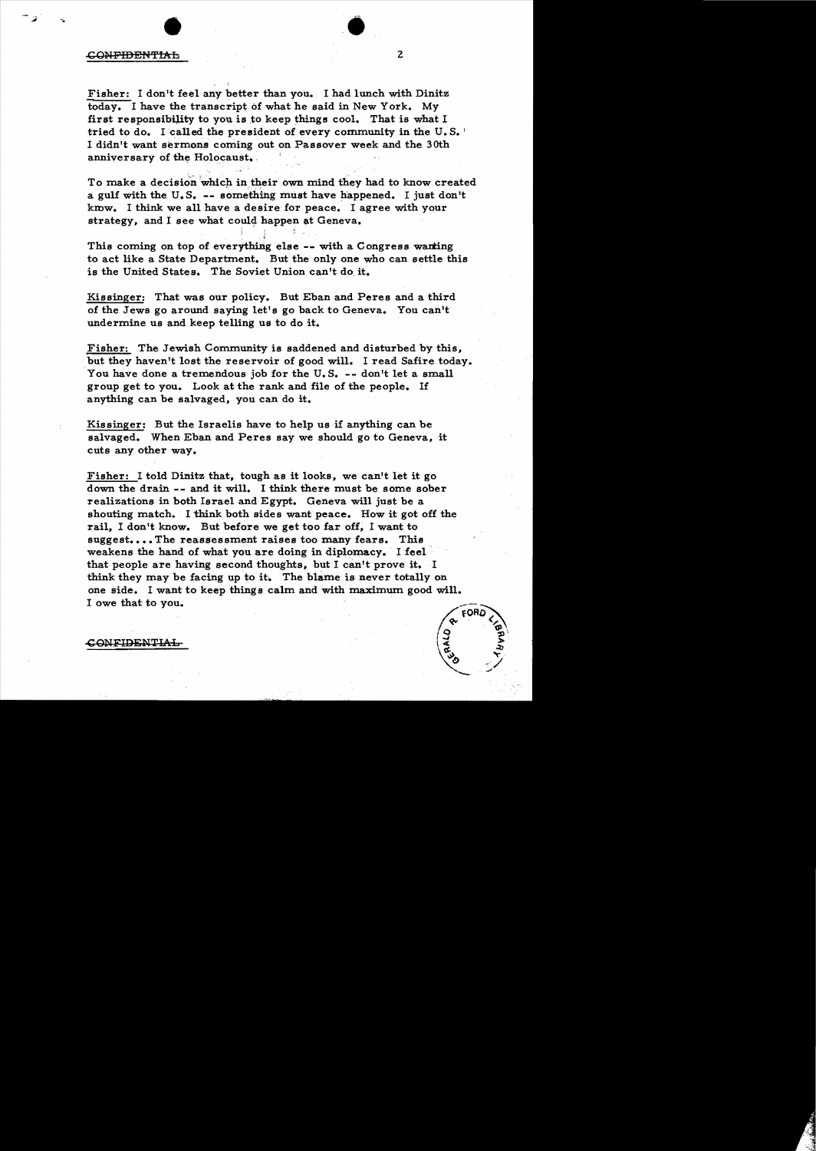## <del>CONFIDENTIAL</del>

Fisher: I don't feel any better than you. I had lunch with Dinitz today. I have the transcript of what he said in New York. My first responsibility to you is to keep things cool. That is what I tried to do. I called the president of every community in the  $U, S$ . I didn't want sermons coming out on Passover week and the 30th anniversary of the Holocaust.

To make a decision which in their own mind they had to know created a gulf with the U.S.  $-$ - something must have happened. I just don't kmw. I think we all have a desire for peace. I agree with your strategy, and I see what could happen at Geneva.

This coming on top of everything else -- with a Congress wanting to act like a State Department. But the only one who can settle this is the United States. The Soviet Union can't do it.

Kissinger: That was our policy. But Eban and Peres and a third of the Jews go around saying let's go back to Geneva. You can't undermine us and keep telling us to do it.

Fisher: The Jewish Community is saddened and disturbed by this, but they haven't lost the reservoir of good will. I read Safire today. You have done a tremendous job for the U.S. -- don't let a small group get to you. Look at the rank and file of the people. If anything can be salvaged, you can do it.

Kissinger: But the Israelis have to help us if anything can be salvaged. When Eban and Peres say we should go to Geneva, it cuts any other way.

Fisher: I told Dinitz that, tough as it looks, we can't let it go down the drain -- and it will. I think there must be some sober realizations in both Israel and Egypt. Geneva will just be a shouting match. I think both sides want peace. How it got off the rail, I don't know. But before we get too far off, I want to suggest....The reassessment raises too many fears. This weakens the hand of what you are doing in diplomacy. I feel that people are having second thoughts, but I can't prove it. I think they may be facing up to it. The blame is never totally on one side. I want to keep things calm and with maximum good will. I owe that to you.



 $\bullet$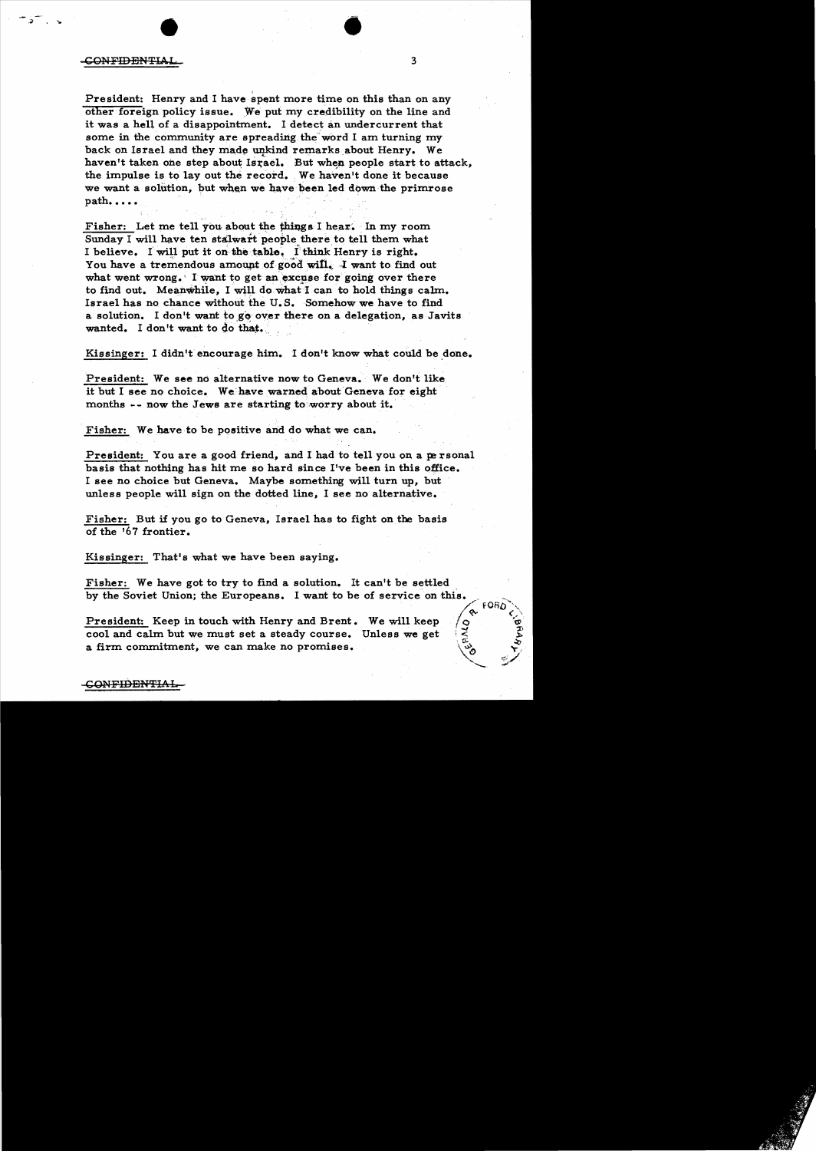## CONFIDENTIAL 3

 $\overline{\phantom{a}}$ 

President: Henry and I have spent more time on this than on any other'foreign policy issue. We put my credibility on the line and it was a hell of a disappointment. I detect an undercurrent that some in the community are spreading the word I am turning my back on Israel and they made unkind remarks about Henry. We haven't taken one step about Israel. But when people start to attack, the impulse is to layout the record. We havenlt done it because we want a solution, but when we have been led down the primrose path....

•

Fisher: Let me tell you about the things I hear. In my room Sunday I will have ten stalwart people there to tell them what I believe. I will put it on the table. I think Henry is right. You have a tremendous amount of good will. I want to find out what went wrong. I want to get an excuse for going over there to find out. Meanwhile, I will do what I can to hold things calm. Israel has no chance without the U.S. Somehow we have to find a solution. I don't want to go over there on a delegation, as Javits wanted. I don't want to do that.

Kissinger: I didn't encourage him. I don't know what could be done.

President: We see no alternative now to Geneva. We don't like it but I see no choice. We have warned about Geneva for eight months -- now the Jews are starting to worry about it.

Fisher: We have to be positive and do what we can.

President: You are a good friend, and I had to tell you on a personal basis that nothing has hit me so hard since I've been in this office. I see no choice but Geneva. Maybe something will turn up, but unless people will sign on the dotted line, I see no alternative.

Fisher: But if you go to Geneva, Israel has to fight on the basis of the '67 frontier.

Kissinger: That's what we have been saying.

Fisher: We have got to try to find a solution. It can't be settled by the Soviet Union; the Europeans. I want to be of service on this.

 $\sim$   $\frac{3}{2}$ 

**President:** Keep in touch with Henry and Brent. We will keep  $\overline{Q}$  cool and calm but we must set a steady course. Unless we get  $\overline{Q}$ cool and calm but we must set a steady course. Unless we get a firm commitment, we can make no promises.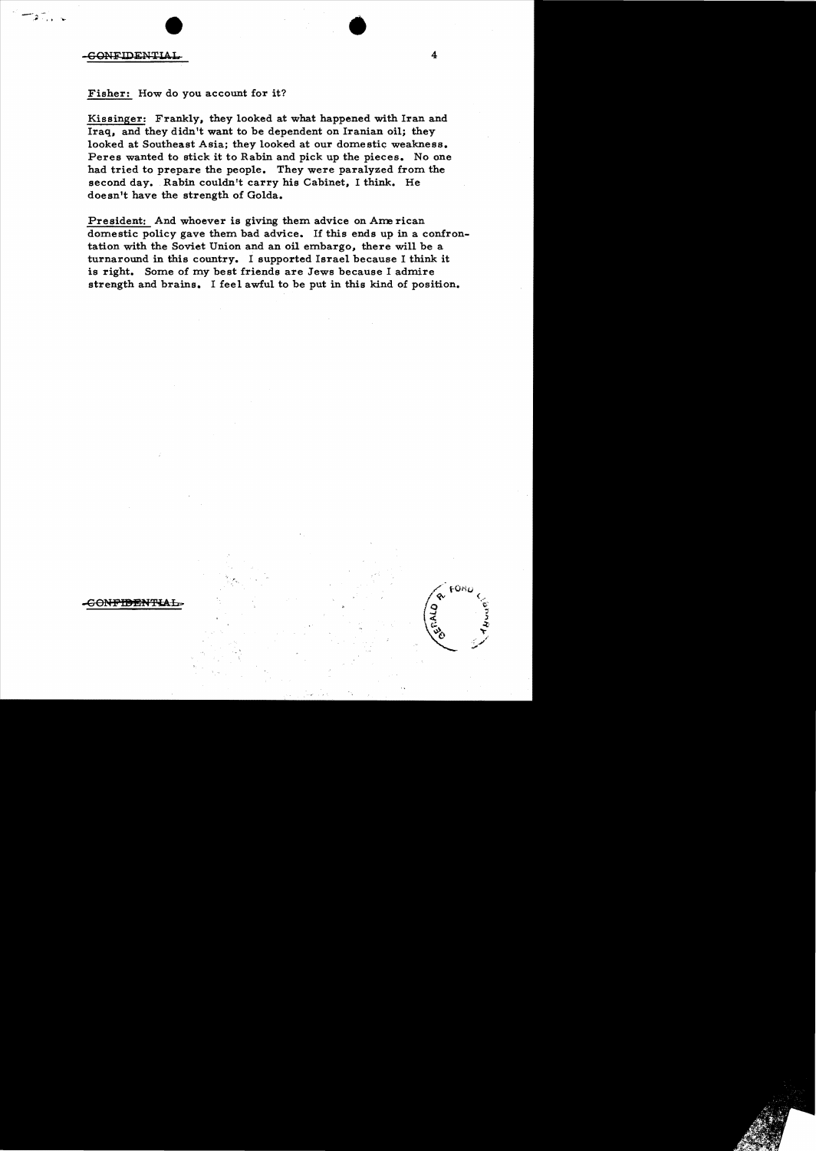·...

Fisher: How do you account for it?

Kissinger: Frankly, they looked at what happened with Iran and Iraq, and they didn't want to be dependent on Iranian oil; they looked at Southeast Asia; they looked at our domestic weakness. Peres wanted to stick it to Rabin and pick up the pieces. No one had tried to prepare the people. They were paralyzed from the second day. Rabin couldn't carry his Cabinet, I think. He doesn't have the strength of Golda.

President: And whoever is giving them advice on American domestic policy gave them bad advice. If this ends up in a confrontation with the Soviet Union and an oil embargo, there will be a turnaround in this country. I supported Israel because I think it is right. Some of my best friends are Jews because I admire strength and brains. I feel awful to be put in this kind of position.

•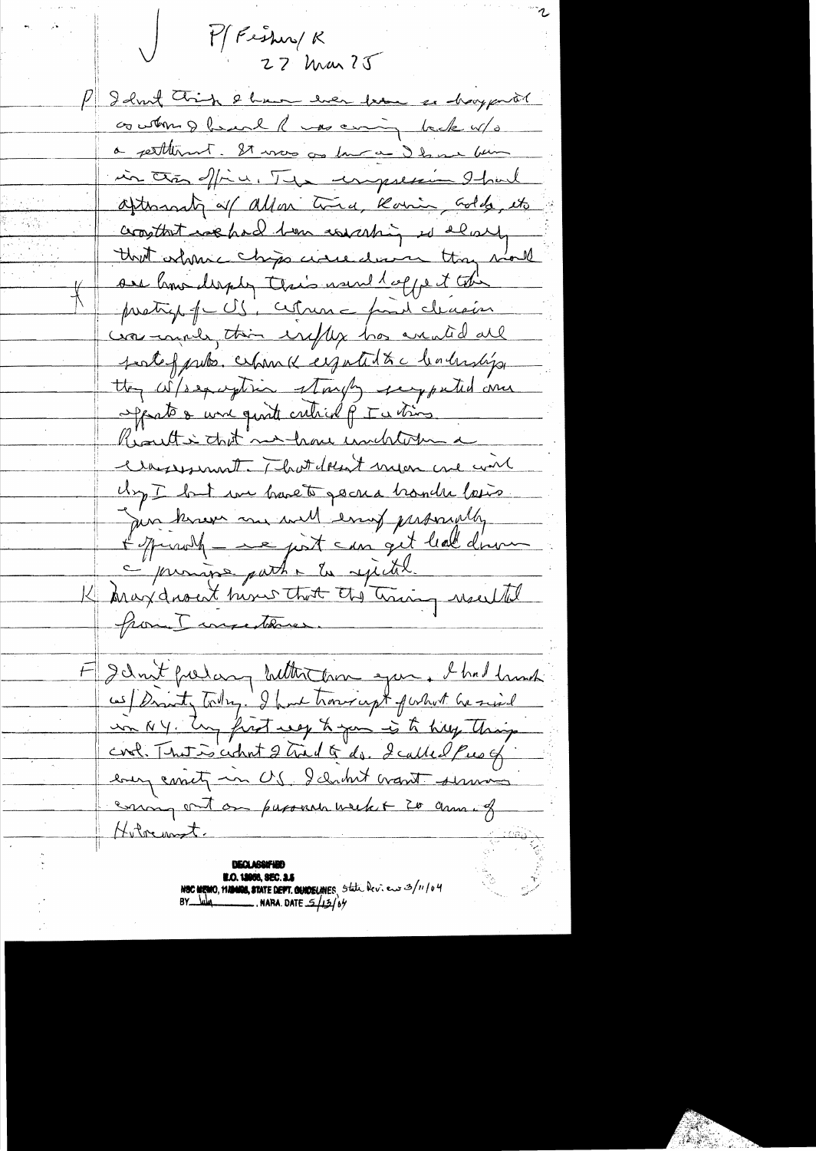M Fishing R  $27$  Mar  $25$ P I don't think I have ever know as havy prot conton & heard R was coming back w/s a petternt. It was as low a I have been in the office. The imposer I had afternati of allar time, Romin, Gold, etc comptant we had tom consisting is alway that orlance chips circulation thay mould sie how deeply their would coppe it the pretig f CS, citrin - paid cleasion car and this explicit has counted all fortof puls. When I eigentit & c leaderships they where they are puted and opports & une quite cretical p I a time Result i that not have unclearned Classesment. That doesn't mean me win Urg I but we have to go na tranche losis. Jun knew me will enruf proposedly of jurish - e just can get leal dinner c promise path i la rejectel. K Aray dront him that the train would from I unsettene F Idn't freehang butter then you. I had hand as Dranty Todry. I have trong upt forhout he said un NY. Ung frost neg h you is to help thing cool. That is count 2 true of do. I called Pue of every correct in US. I climbert want serving coming out on paponent week + 20 anna of Hilvennet. **N.O. 18058, SEC. 3.5** 

NOC MEMO, MANOS, STATE DEFT. QUIOELINES State Dev. ew 3/11/04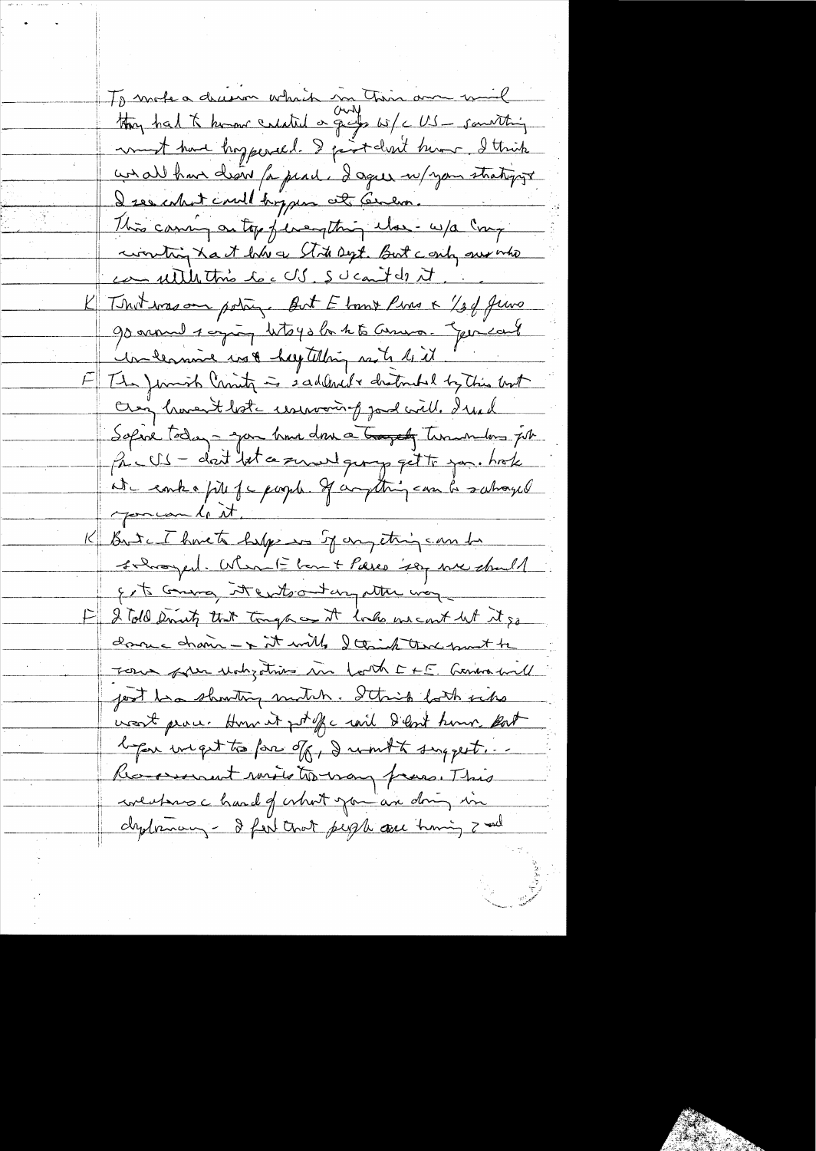To mote a decean which in This am wil they had to know calated or grafs wife US - something won't have hoppered. I prot don't him I think we all have desire for peach. I agree w/your strategys I see what could brygen at Cenero. This caming on top feverating the - w/a Cong wonting hast him a Stote Dept. But conty survive can utile this loc US. SU can t ds it. That was one poting. But Elmy Pins & 134 Juno 90 annual 1 agricy lito 40 la 1 to Carro . You can't un lemme us & hay telling mote lit The Juniob Crisity is sadded to draterabil by this book Oren know that useroom of good will. I used Sopine today - you have done a transfer timendans job Pac US - dat let a served georg get to jon. hok at entre più je pagele. If anything can be subraged you can be it. But a I have to help in Sy any etring can be Inhanged. When I have there is a me should gets comma it enteront any attre way I Told Smith that tongh as it looks we cont let it go donne drain - + it will, I think that smoot to Form plus violizations in forth E + E. German will jost ba showthy motih. Strip both with went proce. How it pt of c rail I lent home pat began ineget to fore of, I won't suggest. Response to the way france This weathers a hand of what you are doing in dydrnary - I few that people are training I will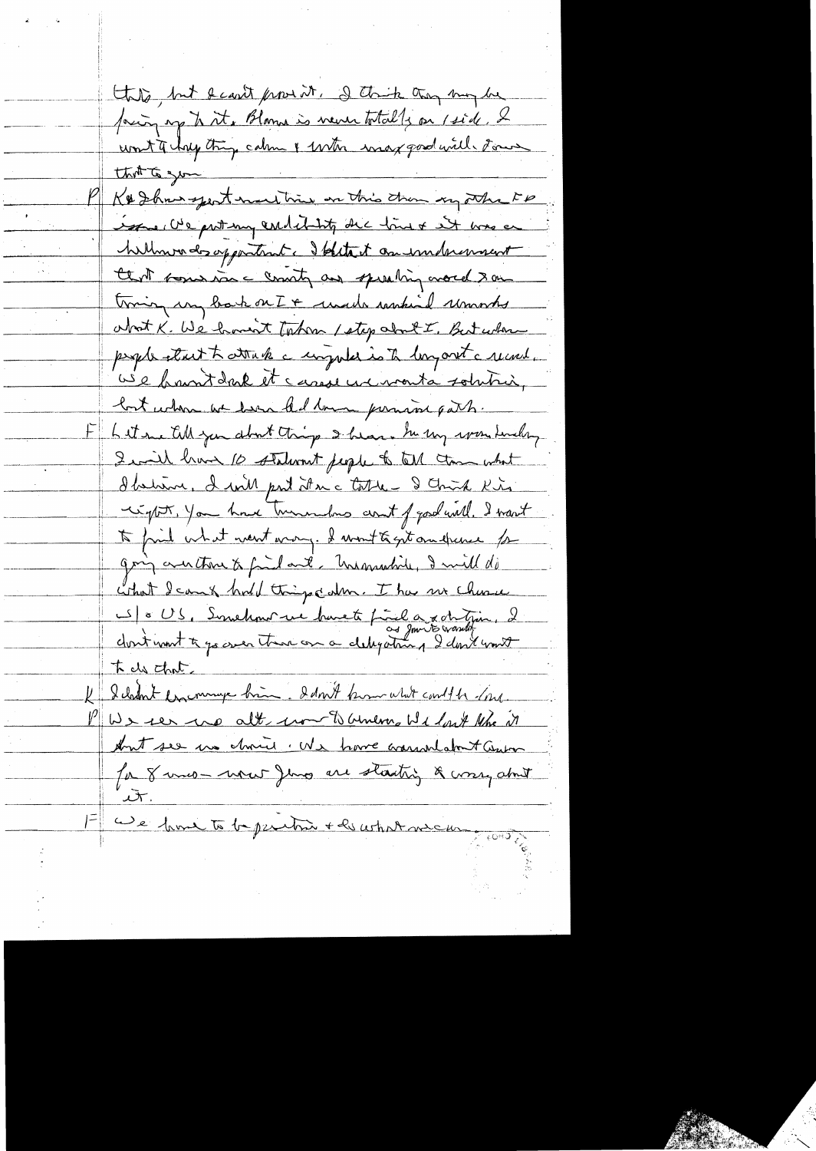this but the provision. I think they may be facing up to it. Blame is never totally on 1 side, 2 K& Show sport mart him on this than my other FP issue We prot my endetably the line of was en hillmonds opportunit. Solitait an imprimant that some rice county and sperating overed & on troing un back on I + unado sasskind usmootes about K. We haven't taken / step about I, But when people start to trake anywhere is to long ont a record. use brantdark et casseur vonta solution, but when we have that love permisse part. Litere till you about things I hear . In my won finding I will have 10 staturant people to tell than what d'helain, I will part it a c table - I Chris Kis cipt, you have turnedus and fgod will. I want to fail what went wang. I wont to get on theme for going and those to find and, Undorsalide, I will do what I can & hold things calm. I has no churce S = US, Synchant we havete final a x otetjan, 2 tels that I chan't encourage bien. I don't know what could be done. PUS ier up alt un touring Wilmet Ne en Ant see un chris . We have warrand don't Genter for 8 mio - were Jing are starting & worry about 1= We have to be peritoire + la cohat me cur.